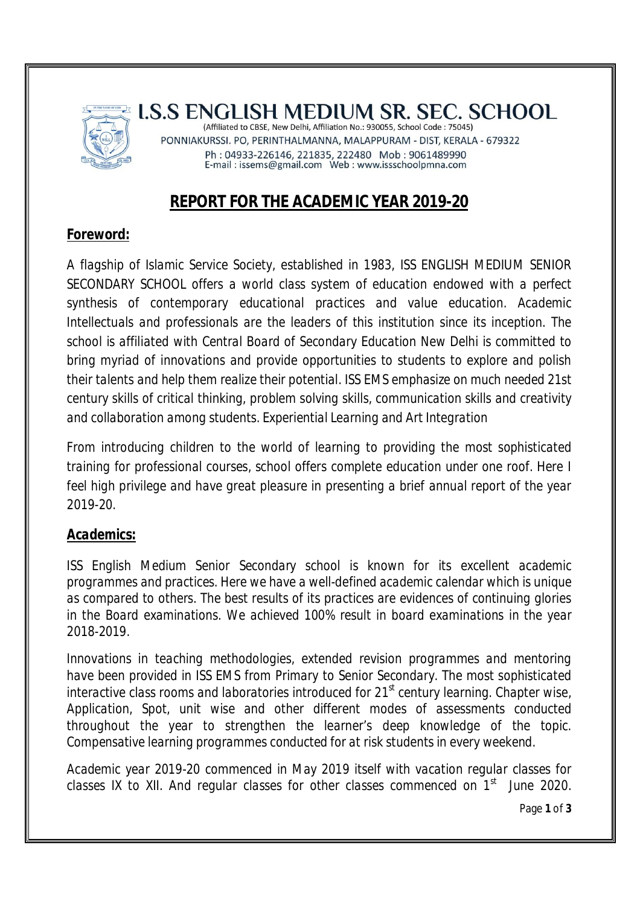

**LS.S ENGLISH MEDIUM SR. SEC. SCHOOL** (Affiliated to CBSE, New Delhi, Affiliation No.: 930055, School Code: 75045)

PONNIAKURSSI. PO, PERINTHALMANNA, MALAPPURAM - DIST, KERALA - 679322 Ph: 04933-226146, 221835, 222480 Mob: 9061489990<br>E-mail: issems@gmail.com Web: www.issschoolpmna.com

# **REPORT FOR THE ACADEMIC YEAR 2019-20**

## *Foreword:*

*A flagship of Islamic Service Society, established in 1983, ISS ENGLISH MEDIUM SENIOR SECONDARY SCHOOL offers a world class system of education endowed with a perfect synthesis of contemporary educational practices and value education. Academic Intellectuals and professionals are the leaders of this institution since its inception. The school is affiliated with Central Board of Secondary Education New Delhi is committed to bring myriad of innovations and provide opportunities to students to explore and polish their talents and help them realize their potential. ISS EMS emphasize on much needed 21st century skills of critical thinking, problem solving skills, communication skills and creativity and collaboration among students. Experiential Learning and Art Integration*

*From introducing children to the world of learning to providing the most sophisticated training for professional courses, school offers complete education under one roof. Here I feel high privilege and have great pleasure in presenting a brief annual report of the year 2019-20.*

### *Academics:*

*ISS English Medium Senior Secondary school is known for its excellent academic programmes and practices. Here we have a well-defined academic calendar which is unique as compared to others. The best results of its practices are evidences of continuing glories in the Board examinations. We achieved 100% result in board examinations in the year 2018-2019.*

*Innovations in teaching methodologies, extended revision programmes and mentoring have been provided in ISS EMS from Primary to Senior Secondary. The most sophisticated interactive class rooms and laboratories introduced for 21st century learning. Chapter wise, Application, Spot, unit wise and other different modes of assessments conducted throughout the year to strengthen the learner's deep knowledge of the topic. Compensative learning programmes conducted for at risk students in every weekend.*

*Academic year 2019-20 commenced in May 2019 itself with vacation regular classes for classes IX to XII. And regular classes for other classes commenced on 1st June 2020.* 

Page **1** of **3**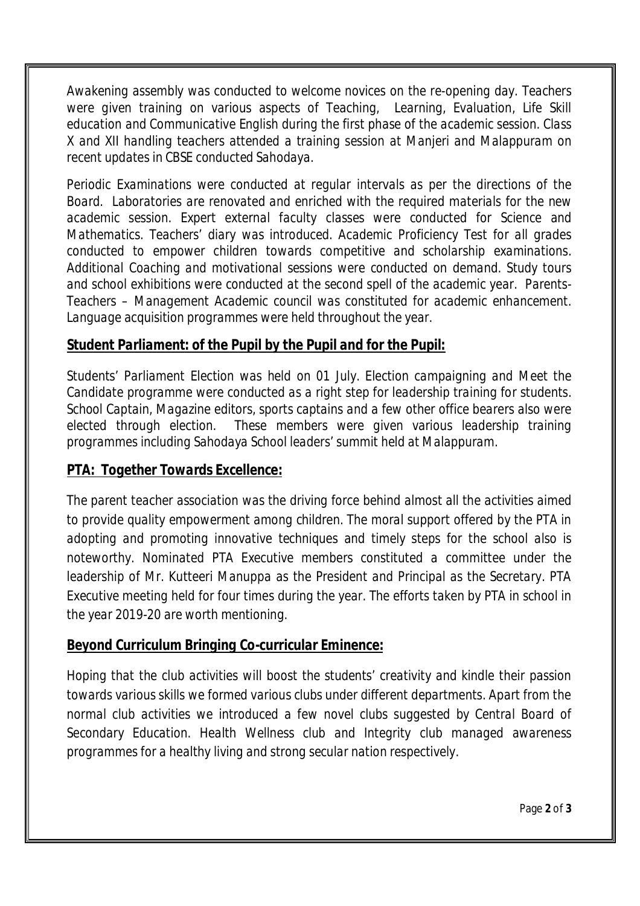*Awakening assembly was conducted to welcome novices on the re-opening day. Teachers were given training on various aspects of Teaching, Learning, Evaluation, Life Skill education and Communicative English during the first phase of the academic session. Class X and XII handling teachers attended a training session at Manjeri and Malappuram on recent updates in CBSE conducted Sahodaya.* 

*Periodic Examinations were conducted at regular intervals as per the directions of the Board. Laboratories are renovated and enriched with the required materials for the new academic session. Expert external faculty classes were conducted for Science and Mathematics. Teachers' diary was introduced. Academic Proficiency Test for all grades conducted to empower children towards competitive and scholarship examinations. Additional Coaching and motivational sessions were conducted on demand. Study tours and school exhibitions were conducted at the second spell of the academic year. Parents-Teachers – Management Academic council was constituted for academic enhancement. Language acquisition programmes were held throughout the year.*

#### *Student Parliament: of the Pupil by the Pupil and for the Pupil:*

*Students' Parliament Election was held on 01 July. Election campaigning and Meet the Candidate programme were conducted as a right step for leadership training for students. School Captain, Magazine editors, sports captains and a few other office bearers also were elected through election. These members were given various leadership training programmes including Sahodaya School leaders' summit held at Malappuram.*

#### *PTA: Together Towards Excellence:*

*The parent teacher association was the driving force behind almost all the activities aimed to provide quality empowerment among children. The moral support offered by the PTA in adopting and promoting innovative techniques and timely steps for the school also is noteworthy. Nominated PTA Executive members constituted a committee under the leadership of Mr. Kutteeri Manuppa as the President and Principal as the Secretary. PTA Executive meeting held for four times during the year. The efforts taken by PTA in school in the year 2019-20 are worth mentioning.*

#### *Beyond Curriculum Bringing Co-curricular Eminence:*

*Hoping that the club activities will boost the students' creativity and kindle their passion towards various skills we formed various clubs under different departments. Apart from the normal club activities we introduced a few novel clubs suggested by Central Board of Secondary Education. Health Wellness club and Integrity club managed awareness programmes for a healthy living and strong secular nation respectively.*